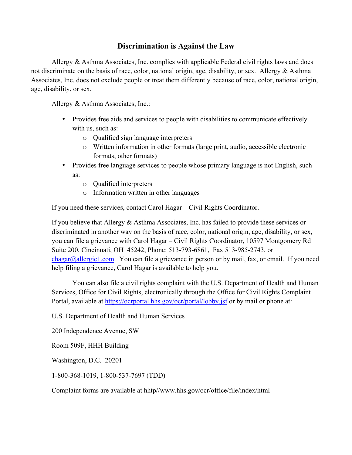## **Discrimination is Against the Law**

Allergy & Asthma Associates, Inc. complies with applicable Federal civil rights laws and does not discriminate on the basis of race, color, national origin, age, disability, or sex. Allergy & Asthma Associates, Inc. does not exclude people or treat them differently because of race, color, national origin, age, disability, or sex.

Allergy & Asthma Associates, Inc.:

- Provides free aids and services to people with disabilities to communicate effectively with us, such as:
	- o Qualified sign language interpreters
	- o Written information in other formats (large print, audio, accessible electronic formats, other formats)
- Provides free language services to people whose primary language is not English, such as:
	- o Qualified interpreters
	- o Information written in other languages

If you need these services, contact Carol Hagar – Civil Rights Coordinator.

If you believe that Allergy & Asthma Associates, Inc. has failed to provide these services or discriminated in another way on the basis of race, color, national origin, age, disability, or sex, you can file a grievance with Carol Hagar – Civil Rights Coordinator, 10597 Montgomery Rd Suite 200, Cincinnati, OH 45242, Phone: 513-793-6861, Fax 513-985-2743, or  $chagar@allergic1.com$ . You can file a grievance in person or by mail, fax, or email. If you need help filing a grievance, Carol Hagar is available to help you.

You can also file a civil rights complaint with the U.S. Department of Health and Human Services, Office for Civil Rights, electronically through the Office for Civil Rights Complaint Portal, available at https://ocrportal.hhs.gov/ocr/portal/lobby.jsf or by mail or phone at:

U.S. Department of Health and Human Services

200 Independence Avenue, SW

Room 509F, HHH Building

Washington, D.C. 20201

1-800-368-1019, 1-800-537-7697 (TDD)

Complaint forms are available at hhtp//www.hhs.gov/ocr/office/file/index/html